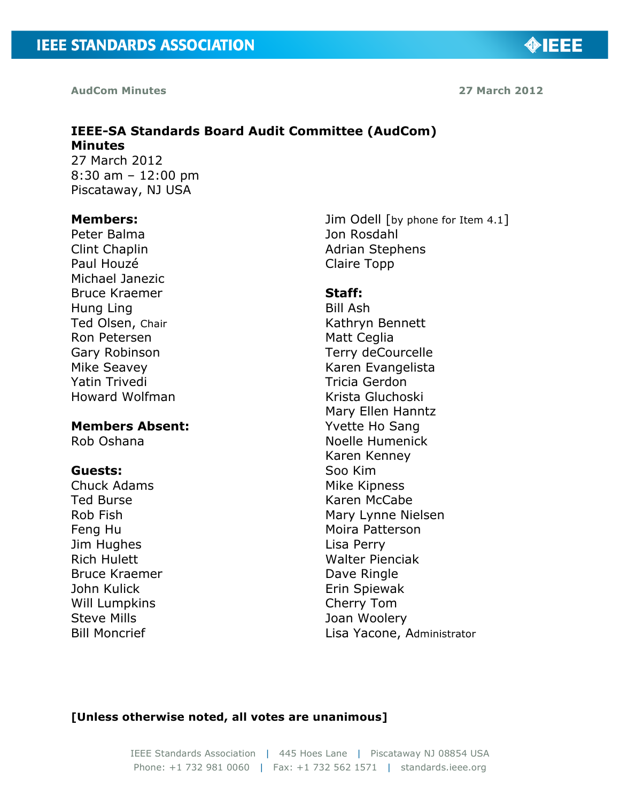**AudCom Minutes 27 March 2012**

**MIEEE** 

#### **IEEE-SA Standards Board Audit Committee (AudCom) Minutes**  27 March 2012

8:30 am – 12:00 pm Piscataway, NJ USA

#### **Members:**

Peter Balma Clint Chaplin Paul Houzé Michael Janezic Bruce Kraemer Hung Ling Ted Olsen, Chair Ron Petersen Gary Robinson Mike Seavey Yatin Trivedi Howard Wolfman

#### **Members Absent:**

Rob Oshana

#### **Guests:**

Chuck Adams Ted Burse Rob Fish Feng Hu Jim Hughes Rich Hulett Bruce Kraemer John Kulick Will Lumpkins Steve Mills Bill Moncrief

Jim Odell [by phone for Item 4.1] Jon Rosdahl Adrian Stephens Claire Topp

#### **Staff:**

Bill Ash Kathryn Bennett Matt Ceglia Terry deCourcelle Karen Evangelista Tricia Gerdon Krista Gluchoski Mary Ellen Hanntz Yvette Ho Sang Noelle Humenick Karen Kenney Soo Kim Mike Kipness Karen McCabe Mary Lynne Nielsen Moira Patterson Lisa Perry Walter Pienciak Dave Ringle Erin Spiewak Cherry Tom Joan Woolery Lisa Yacone, Administrator

#### **[Unless otherwise noted, all votes are unanimous]**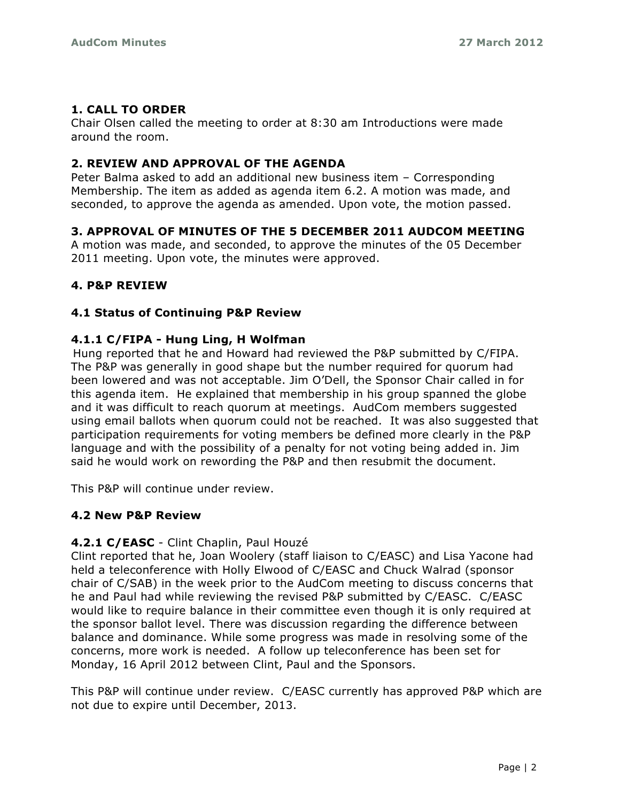# **1. CALL TO ORDER**

Chair Olsen called the meeting to order at 8:30 am Introductions were made around the room.

# **2. REVIEW AND APPROVAL OF THE AGENDA**

Peter Balma asked to add an additional new business item – Corresponding Membership. The item as added as agenda item 6.2. A motion was made, and seconded, to approve the agenda as amended. Upon vote, the motion passed.

# **3. APPROVAL OF MINUTES OF THE 5 DECEMBER 2011 AUDCOM MEETING**

A motion was made, and seconded, to approve the minutes of the 05 December 2011 meeting. Upon vote, the minutes were approved.

# **4. P&P REVIEW**

# **4.1 Status of Continuing P&P Review**

# **4.1.1 C/FIPA - Hung Ling, H Wolfman**!!

Hung reported that he and Howard had reviewed the P&P submitted by C/FIPA. The P&P was generally in good shape but the number required for quorum had been lowered and was not acceptable. Jim O'Dell, the Sponsor Chair called in for this agenda item. He explained that membership in his group spanned the globe and it was difficult to reach quorum at meetings. AudCom members suggested using email ballots when quorum could not be reached. It was also suggested that participation requirements for voting members be defined more clearly in the P&P language and with the possibility of a penalty for not voting being added in. Jim said he would work on rewording the P&P and then resubmit the document.

This P&P will continue under review.

# **4.2 New P&P Review**

# **4.2.1 C/EASC** - Clint Chaplin, Paul Houzé

Clint reported that he, Joan Woolery (staff liaison to C/EASC) and Lisa Yacone had held a teleconference with Holly Elwood of C/EASC and Chuck Walrad (sponsor chair of C/SAB) in the week prior to the AudCom meeting to discuss concerns that he and Paul had while reviewing the revised P&P submitted by C/EASC. C/EASC would like to require balance in their committee even though it is only required at the sponsor ballot level. There was discussion regarding the difference between balance and dominance. While some progress was made in resolving some of the concerns, more work is needed. A follow up teleconference has been set for Monday, 16 April 2012 between Clint, Paul and the Sponsors.

This P&P will continue under review. C/EASC currently has approved P&P which are not due to expire until December, 2013.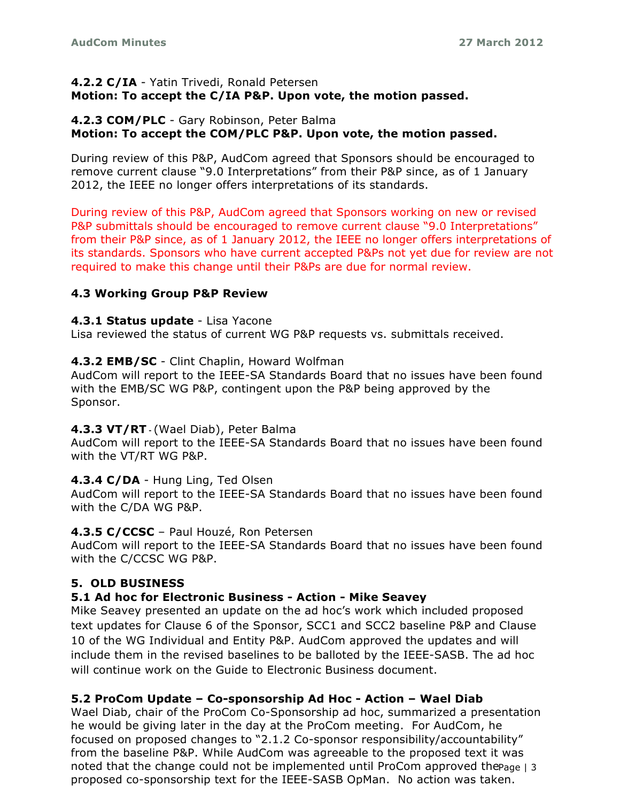#### **4.2.2 C/IA** - Yatin Trivedi, Ronald Petersen!! **Motion: To accept the C/IA P&P. Upon vote, the motion passed.**

#### **4.2.3 COM/PLC** - Gary Robinson, Peter Balma **Motion: To accept the COM/PLC P&P. Upon vote, the motion passed.**

During review of this P&P, AudCom agreed that Sponsors should be encouraged to remove current clause "9.0 Interpretations" from their P&P since, as of 1 January 2012, the IEEE no longer offers interpretations of its standards.

During review of this P&P, AudCom agreed that Sponsors working on new or revised P&P submittals should be encouraged to remove current clause "9.0 Interpretations" from their P&P since, as of 1 January 2012, the IEEE no longer offers interpretations of its standards. Sponsors who have current accepted P&Ps not yet due for review are not required to make this change until their P&Ps are due for normal review.

# **4.3 Working Group P&P Review**

### **4.3.1 Status update** - Lisa Yacone

Lisa reviewed the status of current WG P&P requests vs. submittals received.

# **4.3.2 EMB/SC** - Clint Chaplin, Howard Wolfman

AudCom will report to the IEEE-SA Standards Board that no issues have been found with the EMB/SC WG P&P, contingent upon the P&P being approved by the Sponsor.

# **4.3.3 VT/RT!"!**(Wael Diab), Peter Balma**!!**

AudCom will report to the IEEE-SA Standards Board that no issues have been found with the VT/RT WG P&P.

# **4.3.4 C/DA** - Hung Ling, Ted Olsen**!!!**

AudCom will report to the IEEE-SA Standards Board that no issues have been found with the C/DA WG P&P.

#### **4.3.5 C/CCSC** – Paul Houzé, Ron Petersen

AudCom will report to the IEEE-SA Standards Board that no issues have been found with the C/CCSC WG P&P.

# **5. OLD BUSINESS**

# **5.1 Ad hoc for Electronic Business - Action - Mike Seavey**

Mike Seavey presented an update on the ad hoc's work which included proposed text updates for Clause 6 of the Sponsor, SCC1 and SCC2 baseline P&P and Clause 10 of the WG Individual and Entity P&P. AudCom approved the updates and will include them in the revised baselines to be balloted by the IEEE-SASB. The ad hoc will continue work on the Guide to Electronic Business document.

# **5.2 ProCom Update – Co-sponsorship Ad Hoc - Action – Wael Diab**

noted that the change could not be implemented until ProCom approved the  $_{\text{Page }|\,3}$ Wael Diab, chair of the ProCom Co-Sponsorship ad hoc, summarized a presentation he would be giving later in the day at the ProCom meeting. For AudCom, he focused on proposed changes to "2.1.2 Co-sponsor responsibility/accountability" from the baseline P&P. While AudCom was agreeable to the proposed text it was proposed co-sponsorship text for the IEEE-SASB OpMan. No action was taken.**!!**